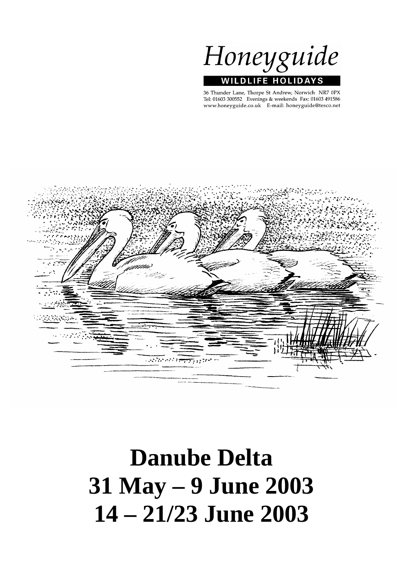

36 Thunder Lane, Thorpe St Andrew, Norwich NR7 0PX Tel: 01603 300552 Evenings & weekends Fax: 01603 491586 www.honeyguide.co.uk E-mail: honeyguide@tesco.net



# **Danube Delta 31 May – 9 June 2003 14 – 21/23 June 2003**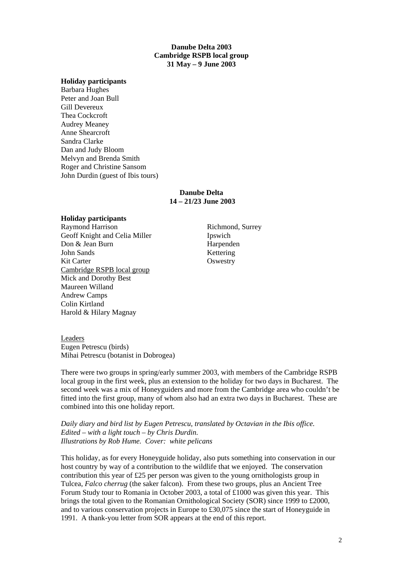### **Danube Delta 2003 Cambridge RSPB local group 31 May – 9 June 2003**

#### **Holiday participants**

Barbara Hughes Peter and Joan Bull Gill Devereux Thea Cockcroft Audrey Meaney Anne Shearcroft Sandra Clarke Dan and Judy Bloom Melvyn and Brenda Smith Roger and Christine Sansom John Durdin (guest of Ibis tours)

#### **Danube Delta 14 – 21/23 June 2003**

#### **Holiday participants**

Raymond Harrison Richmond, Surrey Geoff Knight and Celia Miller **Ipswich** Don & Jean Burn Harpenden John Sands Kettering Kit Carter **Oswestry** Cambridge RSPB local group Mick and Dorothy Best Maureen Willand Andrew Camps Colin Kirtland Harold & Hilary Magnay

Leaders Eugen Petrescu (birds) Mihai Petrescu (botanist in Dobrogea)

There were two groups in spring/early summer 2003, with members of the Cambridge RSPB local group in the first week, plus an extension to the holiday for two days in Bucharest. The second week was a mix of Honeyguiders and more from the Cambridge area who couldn't be fitted into the first group, many of whom also had an extra two days in Bucharest. These are combined into this one holiday report.

*Daily diary and bird list by Eugen Petrescu, translated by Octavian in the Ibis office. Edited – with a light touch – by Chris Durdin. Illustrations by Rob Hume. Cover: white pelicans*

This holiday, as for every Honeyguide holiday, also puts something into conservation in our host country by way of a contribution to the wildlife that we enjoyed. The conservation contribution this year of £25 per person was given to the young ornithologists group in Tulcea, *Falco cherrug* (the saker falcon). From these two groups, plus an Ancient Tree Forum Study tour to Romania in October 2003, a total of £1000 was given this year. This brings the total given to the Romanian Ornithological Society (SOR) since 1999 to £2000, and to various conservation projects in Europe to £30,075 since the start of Honeyguide in 1991. A thank-you letter from SOR appears at the end of this report.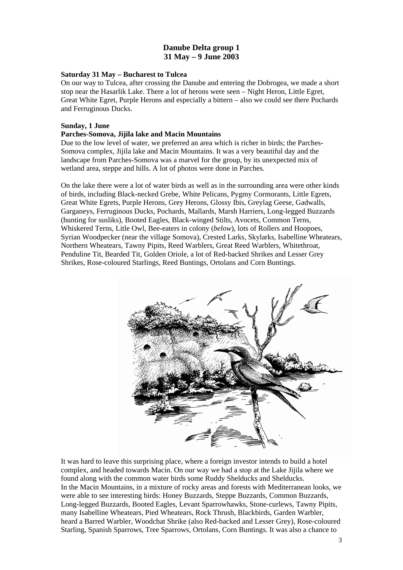# **Danube Delta group 1 31 May – 9 June 2003**

# **Saturday 31 May – Bucharest to Tulcea**

On our way to Tulcea, after crossing the Danube and entering the Dobrogea, we made a short stop near the Hasarlik Lake. There a lot of herons were seen – Night Heron, Little Egret, Great White Egret, Purple Herons and especially a bittern – also we could see there Pochards and Ferruginous Ducks.

### **Sunday, 1 June**

# **Parches-Somova, Jijila lake and Macin Mountains**

Due to the low level of water, we preferred an area which is richer in birds; the Parches-Somova complex, Jijila lake and Macin Mountains. It was a very beautiful day and the landscape from Parches-Somova was a marvel for the group, by its unexpected mix of wetland area, steppe and hills. A lot of photos were done in Parches.

On the lake there were a lot of water birds as well as in the surrounding area were other kinds of birds, including Black-necked Grebe, White Pelicans, Pygmy Cormorants, Little Egrets, Great White Egrets, Purple Herons, Grey Herons, Glossy Ibis, Greylag Geese, Gadwalls, Garganeys, Ferruginous Ducks, Pochards, Mallards, Marsh Harriers, Long-legged Buzzards (hunting for susliks), Booted Eagles, Black-winged Stilts, Avocets, Common Terns, Whiskered Terns, Litle Owl, Bee-eaters in colony (*below*), lots of Rollers and Hoopoes, Syrian Woodpecker (near the village Somova), Crested Larks, Skylarks, Isabelline Wheatears, Northern Wheatears, Tawny Pipits, Reed Warblers, Great Reed Warblers, Whitethroat, Penduline Tit, Bearded Tit, Golden Oriole, a lot of Red-backed Shrikes and Lesser Grey Shrikes, Rose-coloured Starlings, Reed Buntings, Ortolans and Corn Buntings.



It was hard to leave this surprising place, where a foreign investor intends to build a hotel complex, and headed towards Macin. On our way we had a stop at the Lake Jijila where we found along with the common water birds some Ruddy Shelducks and Shelducks. In the Macin Mountains, in a mixture of rocky areas and forests with Mediterranean looks, we were able to see interesting birds: Honey Buzzards, Steppe Buzzards, Common Buzzards, Long-legged Buzzards, Booted Eagles, Levant Sparrowhawks, Stone-curlews, Tawny Pipits, many Isabelline Wheatears, Pied Wheatears, Rock Thrush, Blackbirds, Garden Warbler, heard a Barred Warbler, Woodchat Shrike (also Red-backed and Lesser Grey), Rose-coloured Starling, Spanish Sparrows, Tree Sparrows, Ortolans, Corn Buntings. It was also a chance to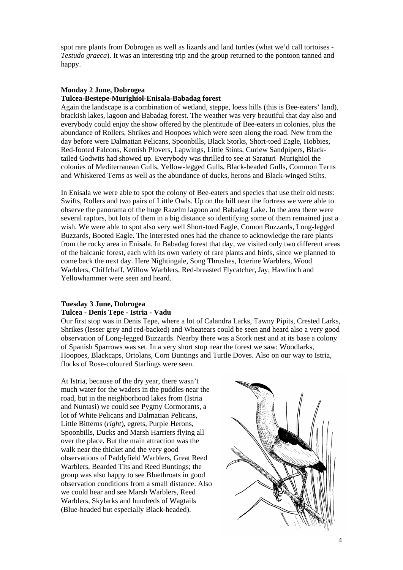spot rare plants from Dobrogea as well as lizards and land turtles (what we'd call tortoises - *Testudo graeca*). It was an interesting trip and the group returned to the pontoon tanned and happy.

# **Monday 2 June, Dobrogea**

# **Tulcea-Bestepe-Murighiol-Enisala-Babadag forest**

Again the landscape is a combination of wetland, steppe, loess hills (this is Bee-eaters' land), brackish lakes, lagoon and Babadag forest. The weather was very beautiful that day also and everybody could enjoy the show offered by the plentitude of Bee-eaters in colonies, plus the abundance of Rollers, Shrikes and Hoopoes which were seen along the road. New from the day before were Dalmatian Pelicans, Spoonbills, Black Storks, Short-toed Eagle, Hobbies, Red-footed Falcons, Kentish Plovers, Lapwings, Little Stints, Curlew Sandpipers, Blacktailed Godwits had showed up. Everybody was thrilled to see at Saraturi–Murighiol the colonies of Mediterranean Gulls, Yellow-legged Gulls, Black-headed Gulls, Common Terns and Whiskered Terns as well as the abundance of ducks, herons and Black-winged Stilts.

In Enisala we were able to spot the colony of Bee-eaters and species that use their old nests: Swifts, Rollers and two pairs of Little Owls. Up on the hill near the fortress we were able to observe the panorama of the huge Razelm lagoon and Babadag Lake. In the area there were several raptors, but lots of them in a big distance so identifying some of them remained just a wish. We were able to spot also very well Short-toed Eagle, Comon Buzzards, Long-legged Buzzards, Booted Eagle. The interested ones had the chance to acknowledge the rare plants from the rocky area in Enisala. In Babadag forest that day, we visited only two different areas of the balcanic forest, each with its own variety of rare plants and birds, since we planned to come back the next day. Here Nightingale, Song Thrushes, Icterine Warblers, Wood Warblers, Chiffchaff, Willow Warblers, Red-breasted Flycatcher, Jay, Hawfinch and Yellowhammer were seen and heard.

# **Tuesday 3 June, Dobrogea**

# **Tulcea - Denis Tepe - Istria - Vadu**

Our first stop was in Denis Tepe, where a lot of Calandra Larks, Tawny Pipits, Crested Larks, Shrikes (lesser grey and red-backed) and Wheatears could be seen and heard also a very good observation of Long-legged Buzzards. Nearby there was a Stork nest and at its base a colony of Spanish Sparrows was set. In a very short stop near the forest we saw: Woodlarks, Hoopoes, Blackcaps, Ortolans, Corn Buntings and Turtle Doves. Also on our way to Istria, flocks of Rose-coloured Starlings were seen.

At Istria, because of the dry year, there wasn't much water for the waders in the puddles near the road, but in the neighborhood lakes from (Istria and Nuntasi) we could see Pygmy Cormorants, a lot of White Pelicans and Dalmatian Pelicans, Little Bitterns (*right*), egrets, Purple Herons, Spoonbills, Ducks and Marsh Harriers flying all over the place. But the main attraction was the walk near the thicket and the very good observations of Paddyfield Warblers, Great Reed Warblers, Bearded Tits and Reed Buntings; the group was also happy to see Bluethroats in good observation conditions from a small distance. Also we could hear and see Marsh Warblers, Reed Warblers, Skylarks and hundreds of Wagtails (Blue-headed but especially Black-headed).

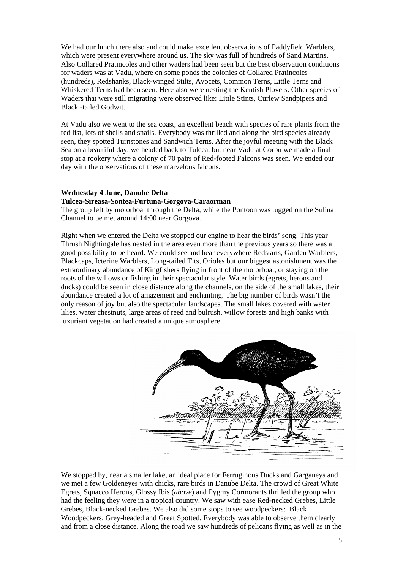We had our lunch there also and could make excellent observations of Paddyfield Warblers, which were present everywhere around us. The sky was full of hundreds of Sand Martins. Also Collared Pratincoles and other waders had been seen but the best observation conditions for waders was at Vadu, where on some ponds the colonies of Collared Pratincoles (hundreds), Redshanks, Black-winged Stilts, Avocets, Common Terns, Little Terns and Whiskered Terns had been seen. Here also were nesting the Kentish Plovers. Other species of Waders that were still migrating were observed like: Little Stints, Curlew Sandpipers and Black -tailed Godwit.

At Vadu also we went to the sea coast, an excellent beach with species of rare plants from the red list, lots of shells and snails. Everybody was thrilled and along the bird species already seen, they spotted Turnstones and Sandwich Terns. After the joyful meeting with the Black Sea on a beautiful day, we headed back to Tulcea, but near Vadu at Corbu we made a final stop at a rookery where a colony of 70 pairs of Red-footed Falcons was seen. We ended our day with the observations of these marvelous falcons.

#### **Wednesday 4 June, Danube Delta**

#### **Tulcea-Sireasa-Sontea-Furtuna-Gorgova-Caraorman**

The group left by motorboat through the Delta, while the Pontoon was tugged on the Sulina Channel to be met around 14:00 near Gorgova.

Right when we entered the Delta we stopped our engine to hear the birds' song. This year Thrush Nightingale has nested in the area even more than the previous years so there was a good possibility to be heard. We could see and hear everywhere Redstarts, Garden Warblers, Blackcaps, Icterine Warblers, Long-tailed Tits, Orioles but our biggest astonishment was the extraordinary abundance of Kingfishers flying in front of the motorboat, or staying on the roots of the willows or fishing in their spectacular style. Water birds (egrets, herons and ducks) could be seen in close distance along the channels, on the side of the small lakes, their abundance created a lot of amazement and enchanting. The big number of birds wasn't the only reason of joy but also the spectacular landscapes. The small lakes covered with water lilies, water chestnuts, large areas of reed and bulrush, willow forests and high banks with luxuriant vegetation had created a unique atmosphere.



We stopped by, near a smaller lake, an ideal place for Ferruginous Ducks and Garganeys and we met a few Goldeneyes with chicks, rare birds in Danube Delta. The crowd of Great White Egrets, Squacco Herons, Glossy Ibis (*above*) and Pygmy Cormorants thrilled the group who had the feeling they were in a tropical country. We saw with ease Red-necked Grebes, Little Grebes, Black-necked Grebes. We also did some stops to see woodpeckers: Black Woodpeckers, Grey-headed and Great Spotted. Everybody was able to observe them clearly and from a close distance. Along the road we saw hundreds of pelicans flying as well as in the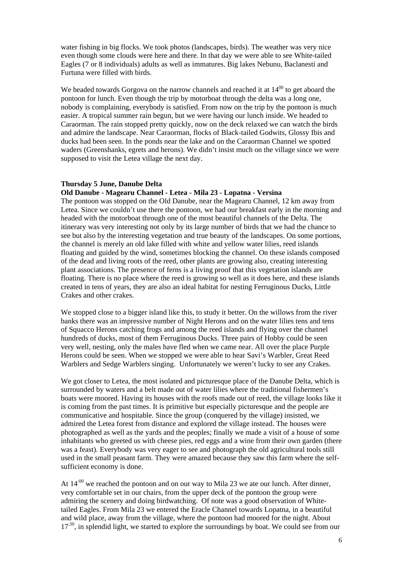water fishing in big flocks. We took photos (landscapes, birds). The weather was very nice even though some clouds were here and there. In that day we were able to see White-tailed Eagles (7 or 8 individuals) adults as well as immatures. Big lakes Nebunu, Baclanesti and Furtuna were filled with birds.

We headed towards Gorgova on the narrow channels and reached it at  $14^{00}$  to get aboard the pontoon for lunch. Even though the trip by motorboat through the delta was a long one, nobody is complaining, everybody is satisfied. From now on the trip by the pontoon is much easier. A tropical summer rain begun, but we were having our lunch inside. We headed to Caraorman. The rain stopped pretty quickly, now on the deck relaxed we can watch the birds and admire the landscape. Near Caraorman, flocks of Black-tailed Godwits, Glossy Ibis and ducks had been seen. In the ponds near the lake and on the Caraorman Channel we spotted waders (Greenshanks, egrets and herons). We didn't insist much on the village since we were supposed to visit the Letea village the next day.

# **Thursday 5 June, Danube Delta**

# **Old Danube - Magearu Channel - Letea - Mila 23 - Lopatna - Versina**

The pontoon was stopped on the Old Danube, near the Magearu Channel, 12 km away from Letea. Since we couldn't use there the pontoon, we had our breakfast early in the morning and headed with the motorboat through one of the most beautiful channels of the Delta. The itinerary was very interesting not only by its large number of birds that we had the chance to see but also by the interesting vegetation and true beauty of the landscapes. On some portions, the channel is merely an old lake filled with white and yellow water lilies, reed islands floating and guided by the wind, sometimes blocking the channel. On these islands composed of the dead and living roots of the reed, other plants are growing also, creating interesting plant associations. The presence of ferns is a living proof that this vegetation islands are floating. There is no place where the reed is growing so well as it does here, and these islands created in tens of years, they are also an ideal habitat for nesting Ferruginous Ducks, Little Crakes and other crakes.

We stopped close to a bigger island like this, to study it better. On the willows from the river banks there was an impressive number of Night Herons and on the water lilies tens and tens of Squacco Herons catching frogs and among the reed islands and flying over the channel hundreds of ducks, most of them Ferruginous Ducks. Three pairs of Hobby could be seen very well, nesting, only the males have fled when we came near. All over the place Purple Herons could be seen. When we stopped we were able to hear Savi's Warbler, Great Reed Warblers and Sedge Warblers singing. Unfortunately we weren't lucky to see any Crakes.

We got closer to Letea, the most isolated and picturesque place of the Danube Delta, which is surrounded by waters and a belt made out of water lilies where the traditional fishermen's boats were moored. Having its houses with the roofs made out of reed, the village looks like it is coming from the past times. It is primitive but especially picturesque and the people are communicative and hospitable. Since the group (conquered by the village) insisted, we admired the Letea forest from distance and explored the village instead. The houses were photographed as well as the yards and the peoples; finally we made a visit of a house of some inhabitants who greeted us with cheese pies, red eggs and a wine from their own garden (there was a feast). Everybody was very eager to see and photograph the old agricultural tools still used in the small peasant farm. They were amazed because they saw this farm where the selfsufficient economy is done.

At  $14^{00}$  we reached the pontoon and on our way to Mila 23 we ate our lunch. After dinner, very comfortable set in our chairs, from the upper deck of the pontoon the group were admiring the scenery and doing birdwatching. Of note was a good observation of Whitetailed Eagles. From Mila 23 we entered the Eracle Channel towards Lopatna, in a beautiful and wild place, away from the village, where the pontoon had moored for the night. About  $17<sup>30</sup>$ , in splendid light, we started to explore the surroundings by boat. We could see from our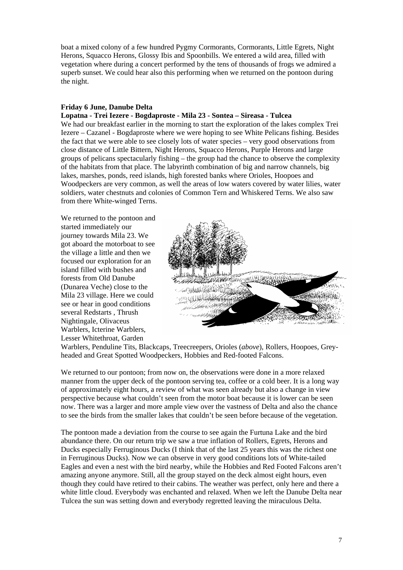boat a mixed colony of a few hundred Pygmy Cormorants, Cormorants, Little Egrets, Night Herons, Squacco Herons, Glossy Ibis and Spoonbills. We entered a wild area, filled with vegetation where during a concert performed by the tens of thousands of frogs we admired a superb sunset. We could hear also this performing when we returned on the pontoon during the night.

# **Friday 6 June, Danube Delta**

#### **Lopatna - Trei Iezere - Bogdaproste - Mila 23 - Sontea – Sireasa - Tulcea**

We had our breakfast earlier in the morning to start the exploration of the lakes complex Trei Iezere – Cazanel - Bogdaproste where we were hoping to see White Pelicans fishing. Besides the fact that we were able to see closely lots of water species – very good observations from close distance of Little Bittern, Night Herons, Squacco Herons, Purple Herons and large groups of pelicans spectacularly fishing – the group had the chance to observe the complexity of the habitats from that place. The labyrinth combination of big and narrow channels, big lakes, marshes, ponds, reed islands, high forested banks where Orioles, Hoopoes and Woodpeckers are very common, as well the areas of low waters covered by water lilies, water soldiers, water chestnuts and colonies of Common Tern and Whiskered Terns. We also saw from there White-winged Terns.

We returned to the pontoon and started immediately our journey towards Mila 23. We got aboard the motorboat to see the village a little and then we focused our exploration for an island filled with bushes and forests from Old Danube (Dunarea Veche) close to the Mila 23 village. Here we could see or hear in good conditions several Redstarts , Thrush Nightingale, Olivaceus Warblers, Icterine Warblers, Lesser Whitethroat, Garden



Warblers, Penduline Tits, Blackcaps, Treecreepers, Orioles (*above*), Rollers, Hoopoes, Greyheaded and Great Spotted Woodpeckers, Hobbies and Red-footed Falcons.

We returned to our pontoon; from now on, the observations were done in a more relaxed manner from the upper deck of the pontoon serving tea, coffee or a cold beer. It is a long way of approximately eight hours, a review of what was seen already but also a change in view perspective because what couldn't seen from the motor boat because it is lower can be seen now. There was a larger and more ample view over the vastness of Delta and also the chance to see the birds from the smaller lakes that couldn't be seen before because of the vegetation.

The pontoon made a deviation from the course to see again the Furtuna Lake and the bird abundance there. On our return trip we saw a true inflation of Rollers, Egrets, Herons and Ducks especially Ferruginous Ducks (I think that of the last 25 years this was the richest one in Ferruginous Ducks). Now we can observe in very good conditions lots of White-tailed Eagles and even a nest with the bird nearby, while the Hobbies and Red Footed Falcons aren't amazing anyone anymore. Still, all the group stayed on the deck almost eight hours, even though they could have retired to their cabins. The weather was perfect, only here and there a white little cloud. Everybody was enchanted and relaxed. When we left the Danube Delta near Tulcea the sun was setting down and everybody regretted leaving the miraculous Delta.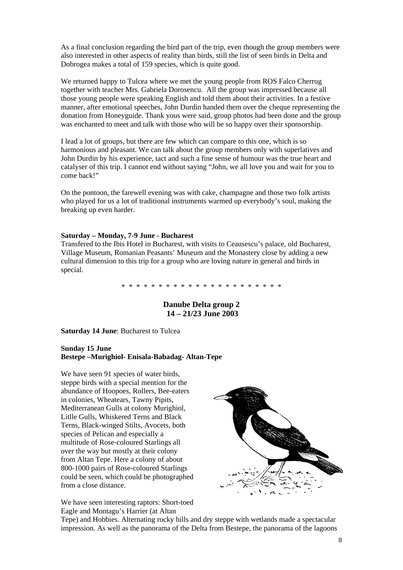As a final conclusion regarding the bird part of the trip, even though the group members were also interested in other aspects of reality than birds, still the list of seen birds in Delta and Dobrogea makes a total of 159 species, which is quite good.

We returned happy to Tulcea where we met the young people from ROS Falco Cherrug together with teacher Mrs. Gabriela Dorosencu. All the group was impressed because all those young people were speaking English and told them about their activities. In a festive manner, after emotional speeches, John Durdin handed them over the cheque representing the donation from Honeyguide. Thank yous were said, group photos had been done and the group was enchanted to meet and talk with those who will be so happy over their sponsorship.

I lead a lot of groups, but there are few which can compare to this one, which is so harmonious and pleasant. We can talk about the group members only with superlatives and John Durdin by his experience, tact and such a fine sense of humour was the true heart and catalyser of this trip. I cannot end without saying "John, we all love you and wait for you to come back!"

On the pontoon, the farewell evening was with cake, champagne and those two folk artists who played for us a lot of traditional instruments warmed up everybody's soul, making the breaking up even harder.

### **Saturday – Monday, 7-9 June - Bucharest**

Transfered to the Ibis Hotel in Bucharest, with visits to Ceausescu's palace, old Bucharest, Village Museum, Romanian Peasants' Museum and the Monastery close by adding a new cultural dimension to this trip for a group who are loving nature in general and birds in special.

\* \* \* \* \* \* \* \* \* \* \* \* \* \* \* \* \* \* \* \* \* \*

**Danube Delta group 2 14 – 21/23 June 2003** 

**Saturday 14 June**: Bucharest to Tulcea

#### **Sunday 15 June Bestepe –Murighiol- Enisala-Babadag- Altan-Tepe**

We have seen 91 species of water birds, steppe birds with a special mention for the abundance of Hoopoes, Rollers, Bee-eaters in colonies, Wheatears, Tawny Pipits, Mediterranean Gulls at colony Murighiol, Litlle Gulls, Whiskered Terns and Black Terns, Black-winged Stilts, Avocets, both species of Pelican and especially a multitude of Rose-coloured Starlings all over the way but mostly at their colony from Altan Tepe. Here a colony of about 800-1000 pairs of Rose-coloured Starlings could be seen, which could be photographed from a close distance.



We have seen interesting raptors: Short-toed Eagle and Montagu's Harrier (at Altan

Tepe) and Hobbies. Alternating rocky hills and dry steppe with wetlands made a spectacular impression. As well as the panorama of the Delta from Bestepe, the panorama of the lagoons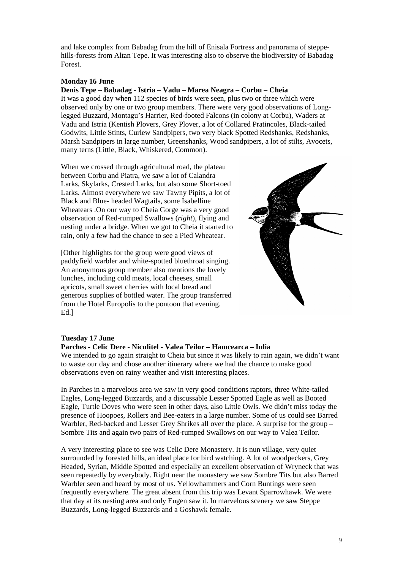and lake complex from Babadag from the hill of Enisala Fortress and panorama of steppehills-forests from Altan Tepe. It was interesting also to observe the biodiversity of Babadag Forest.

# **Monday 16 June**

# **Denis Tepe – Babadag - Istria – Vadu – Marea Neagra – Corbu – Cheia**

It was a good day when 112 species of birds were seen, plus two or three which were observed only by one or two group members. There were very good observations of Longlegged Buzzard, Montagu's Harrier, Red-footed Falcons (in colony at Corbu), Waders at Vadu and Istria (Kentish Plovers, Grey Plover, a lot of Collared Pratincoles, Black-tailed Godwits, Little Stints, Curlew Sandpipers, two very black Spotted Redshanks, Redshanks, Marsh Sandpipers in large number, Greenshanks, Wood sandpipers, a lot of stilts, Avocets, many terns (Little, Black, Whiskered, Common).

When we crossed through agricultural road, the plateau between Corbu and Piatra, we saw a lot of Calandra Larks, Skylarks, Crested Larks, but also some Short-toed Larks. Almost everywhere we saw Tawny Pipits, a lot of Black and Blue- headed Wagtails, some Isabelline Wheatears .On our way to Cheia Gorge was a very good observation of Red-rumped Swallows (*right*), flying and nesting under a bridge. When we got to Cheia it started to rain, only a few had the chance to see a Pied Wheatear.

[Other highlights for the group were good views of paddyfield warbler and white-spotted bluethroat singing. An anonymous group member also mentions the lovely lunches, including cold meats, local cheeses, small apricots, small sweet cherries with local bread and generous supplies of bottled water. The group transferred from the Hotel Europolis to the pontoon that evening. Ed.]



#### **Tuesday 17 June**

#### **Parches - Celic Dere - Niculitel - Valea Teilor – Hamcearca – Iulia**

We intended to go again straight to Cheia but since it was likely to rain again, we didn't want to waste our day and chose another itinerary where we had the chance to make good observations even on rainy weather and visit interesting places.

In Parches in a marvelous area we saw in very good conditions raptors, three White-tailed Eagles, Long-legged Buzzards, and a discussable Lesser Spotted Eagle as well as Booted Eagle, Turtle Doves who were seen in other days, also Little Owls. We didn't miss today the presence of Hoopoes, Rollers and Bee-eaters in a large number. Some of us could see Barred Warbler, Red-backed and Lesser Grey Shrikes all over the place. A surprise for the group – Sombre Tits and again two pairs of Red-rumped Swallows on our way to Valea Teilor.

A very interesting place to see was Celic Dere Monastery. It is nun village, very quiet surrounded by forested hills, an ideal place for bird watching. A lot of woodpeckers, Grey Headed, Syrian, Middle Spotted and especially an excellent observation of Wryneck that was seen repeatedly by everybody. Right near the monastery we saw Sombre Tits but also Barred Warbler seen and heard by most of us. Yellowhammers and Corn Buntings were seen frequently everywhere. The great absent from this trip was Levant Sparrowhawk. We were that day at its nesting area and only Eugen saw it. In marvelous scenery we saw Steppe Buzzards, Long-legged Buzzards and a Goshawk female.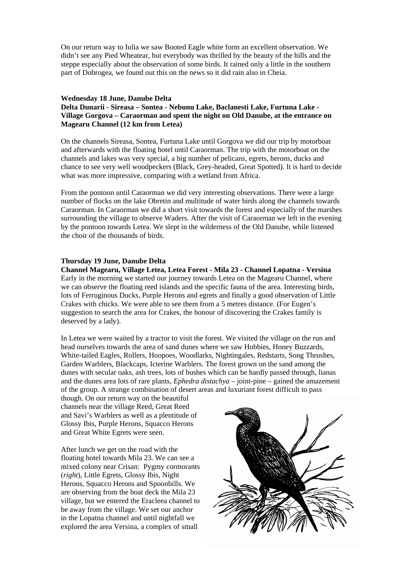On our return way to Iulia we saw Booted Eagle white form an excellent observation. We didn't see any Pied Wheatear, but everybody was thrilled by the beauty of the hills and the steppe especially about the observation of some birds. It rained only a little in the southern part of Dobrogea, we found out this on the news so it did rain also in Cheia.

#### **Wednesday 18 June, Danube Delta**

**Delta Dunarii - Sireasa – Sontea - Nebunu Lake, Baclanesti Lake, Furtuna Lake - Village Gorgova – Caraorman and spent the night on Old Danube, at the entrance on Magearu Channel (12 km from Letea)** 

On the channels Sireasa, Sontea, Furtuna Lake until Gorgova we did our trip by motorboat and afterwards with the floating hotel until Caraorman. The trip with the motorboat on the channels and lakes was very special, a big number of pelicans, egrets, herons, ducks and chance to see very well woodpeckers (Black, Grey-headed, Great Spotted). It is hard to decide what was more impressive, comparing with a wetland from Africa.

From the pontoon until Caraorman we did very interesting observations. There were a large number of flocks on the lake Obretin and multitude of water birds along the channels towards Caraorman. In Caraorman we did a short visit towards the forest and especially of the marshes surrounding the village to observe Waders. After the visit of Caraorman we left in the evening by the pontoon towards Letea. We slept in the wilderness of the Old Danube, while listened the choir of the thousands of birds.

### **Thursday 19 June, Danube Delta**

**Channel Magearu, Village Letea, Letea Forest - Mila 23 - Channel Lopatna - Versina**  Early in the morning we started our journey towards Letea on the Magearu Channel, where we can observe the floating reed islands and the specific fauna of the area. Interesting birds, lots of Ferruginous Ducks, Purple Herons and egrets and finally a good observation of Little Crakes with chicks. We were able to see them from a 5 metres distance. (For Eugen's suggestion to search the area for Crakes, the honour of discovering the Crakes family is deserved by a lady).

In Letea we were waited by a tractor to visit the forest. We visited the village on the run and head ourselves towards the area of sand dunes where we saw Hobbies, Honey Buzzards, White-tailed Eagles, Rollers, Hoopoes, Woodlarks, Nightingales, Redstarts, Song Thrushes, Garden Warblers, Blackcaps, Icterine Warblers. The forest grown on the sand among the dunes with secular oaks, ash trees, lots of bushes which can be hardly passed through, lianas and the dunes area lots of rare plants, *Ephedra distachya* – joint-pine – gained the amazement of the group. A strange combination of desert areas and luxuriant forest difficult to pass

though. On our return way on the beautiful channels near the village Reed, Great Reed and Savi's Warblers as well as a plentitude of Glossy Ibis, Purple Herons, Squacco Herons and Great White Egrets were seen.

After lunch we get on the road with the floating hotel towards Mila 23. We can see a mixed colony near Crisan: Pygmy cormorants (*right*), Little Egrets, Glossy Ibis, Night Herons, Squacco Herons and Spoonbills. We are observing from the boat deck the Mila 23 village, but we entered the Eracleea channel to be away from the village. We set our anchor in the Lopatna channel and until nightfall we explored the area Versina, a complex of small